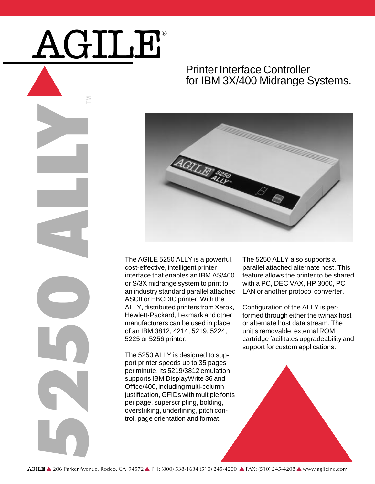## AGILE®

M

## Printer Interface Controller for IBM 3X/400 Midrange Systems.



The AC<br>
cost-ef<br>
interface<br>
or S/39<br>
an induction<br>
an induction<br>
AGILY,<br>
Hewlet Responsibly<br>
The 52<br>
port prince<br>
per par<br>
uppfor<br>
justifica<br>
per par<br>
overstr<br>
trol, pa<br>
AGILE **A** 206 Parker Avenue, Rodeo, CA 94572. The AGILE 5250 ALLY is a powerful, cost-effective, intelligent printer interface that enables an IBM AS/400 or S/3X midrange system to print to an industry standard parallel attached ASCII or EBCDIC printer. With the ALLY, distributed printers from Xerox, Hewlett-Packard, Lexmark and other manufacturers can be used in place of an IBM 3812, 4214, 5219, 5224, 5225 or 5256 printer.

The 5250 ALLY is designed to support printer speeds up to 35 pages per minute. Its 5219/3812 emulation supports IBM DisplayWrite 36 and Office/400, including multi-column justification, GFIDs with multiple fonts per page, superscripting, bolding, overstriking, underlining, pitch control, page orientation and format.

The 5250 ALLY also supports a parallel attached alternate host. This feature allows the printer to be shared with a PC, DEC VAX, HP 3000, PC LAN or another protocol converter.

Configuration of the ALLY is performed through either the twinax host or alternate host data stream. The unit's removable, external ROM cartridge facilitates upgradeability and support for custom applications.